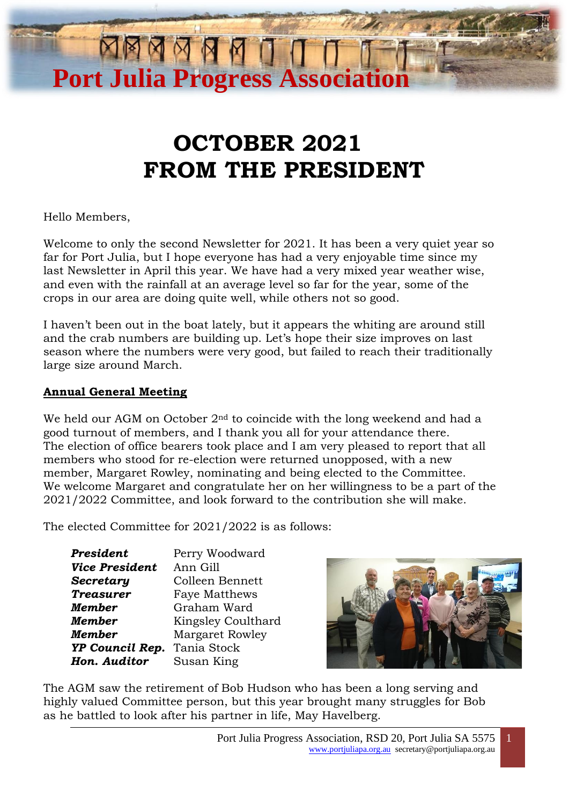# **OCTOBER 2021 FROM THE PRESIDENT**

**Port Julia Progress Associat** 

Hello Members,

Welcome to only the second Newsletter for 2021. It has been a very quiet year so far for Port Julia, but I hope everyone has had a very enjoyable time since my last Newsletter in April this year. We have had a very mixed year weather wise, and even with the rainfall at an average level so far for the year, some of the crops in our area are doing quite well, while others not so good.

I haven't been out in the boat lately, but it appears the whiting are around still and the crab numbers are building up. Let's hope their size improves on last season where the numbers were very good, but failed to reach their traditionally large size around March.

## **Annual General Meeting**

We held our AGM on October  $2<sup>nd</sup>$  to coincide with the long weekend and had a good turnout of members, and I thank you all for your attendance there. The election of office bearers took place and I am very pleased to report that all members who stood for re-election were returned unopposed, with a new member, Margaret Rowley, nominating and being elected to the Committee. We welcome Margaret and congratulate her on her willingness to be a part of the 2021/2022 Committee, and look forward to the contribution she will make.

The elected Committee for 2021/2022 is as follows:

| President             | Perry Woodward         |
|-----------------------|------------------------|
| <b>Vice President</b> | Ann Gill               |
| Secretary             | Colleen Bennett        |
| <b>Treasurer</b>      | <b>Faye Matthews</b>   |
| Member                | Graham Ward            |
| Member                | Kingsley Coulthard     |
| Member                | <b>Margaret Rowley</b> |
| YP Council Rep.       | Tania Stock            |
| Hon. Auditor          | Susan King             |



The AGM saw the retirement of Bob Hudson who has been a long serving and highly valued Committee person, but this year brought many struggles for Bob as he battled to look after his partner in life, May Havelberg.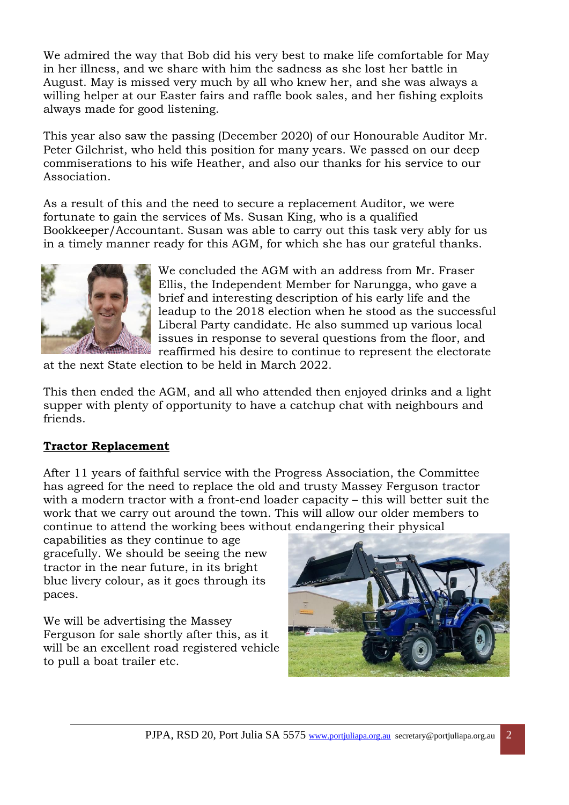in her illness, and we share with him the sadness as she lost her battle in<br>August. May is missed very much by all who knew her, and she was always a We admired the way that Bob did his very best to make life comfortable for May in her illness, and we share with him the sadness as she lost her battle in willing helper at our Easter fairs and raffle book sales, and her fishing exploits always made for good listening.

This year also saw the passing (December 2020) of our Honourable Auditor Mr. Peter Gilchrist, who held this position for many years. We passed on our deep commiserations to his wife Heather, and also our thanks for his service to our Association.

As a result of this and the need to secure a replacement Auditor, we were fortunate to gain the services of Ms. Susan King, who is a qualified Bookkeeper/Accountant. Susan was able to carry out this task very ably for us in a timely manner ready for this AGM, for which she has our grateful thanks.



We concluded the AGM with an address from Mr. Fraser Ellis, the Independent Member for Narungga, who gave a brief and interesting description of his early life and the leadup to the 2018 election when he stood as the successful Liberal Party candidate. He also summed up various local issues in response to several questions from the floor, and reaffirmed his desire to continue to represent the electorate

at the next State election to be held in March 2022.

This then ended the AGM, and all who attended then enjoyed drinks and a light supper with plenty of opportunity to have a catchup chat with neighbours and friends.

# **Tractor Replacement**

After 11 years of faithful service with the Progress Association, the Committee has agreed for the need to replace the old and trusty Massey Ferguson tractor with a modern tractor with a front-end loader capacity – this will better suit the work that we carry out around the town. This will allow our older members to continue to attend the working bees without endangering their physical

capabilities as they continue to age gracefully. We should be seeing the new tractor in the near future, in its bright blue livery colour, as it goes through its paces.

We will be advertising the Massey Ferguson for sale shortly after this, as it will be an excellent road registered vehicle to pull a boat trailer etc.

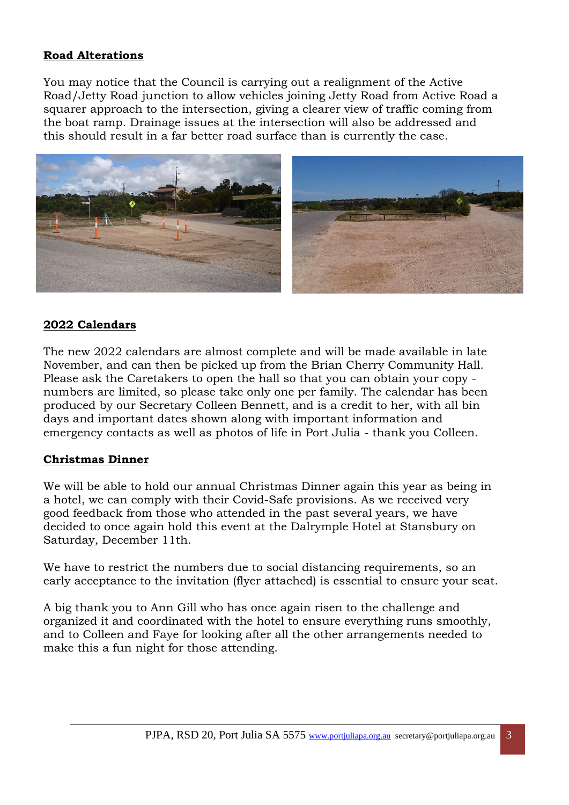# **Road Alterations**

You may notice that the Council is carrying out a realignment of the Active Road/Jetty Road junction to allow vehicles joining Jetty Road from Active Road a squarer approach to the intersection, giving a clearer view of traffic coming from the boat ramp. Drainage issues at the intersection will also be addressed and this should result in a far better road surface than is currently the case.



#### **2022 Calendars**

The new 2022 calendars are almost complete and will be made available in late November, and can then be picked up from the Brian Cherry Community Hall. Please ask the Caretakers to open the hall so that you can obtain your copy numbers are limited, so please take only one per family. The calendar has been produced by our Secretary Colleen Bennett, and is a credit to her, with all bin days and important dates shown along with important information and emergency contacts as well as photos of life in Port Julia - thank you Colleen.

#### **Christmas Dinner**

We will be able to hold our annual Christmas Dinner again this year as being in a hotel, we can comply with their Covid-Safe provisions. As we received very good feedback from those who attended in the past several years, we have decided to once again hold this event at the Dalrymple Hotel at Stansbury on Saturday, December 11th.

We have to restrict the numbers due to social distancing requirements, so an early acceptance to the invitation (flyer attached) is essential to ensure your seat.

A big thank you to Ann Gill who has once again risen to the challenge and organized it and coordinated with the hotel to ensure everything runs smoothly, and to Colleen and Faye for looking after all the other arrangements needed to make this a fun night for those attending.